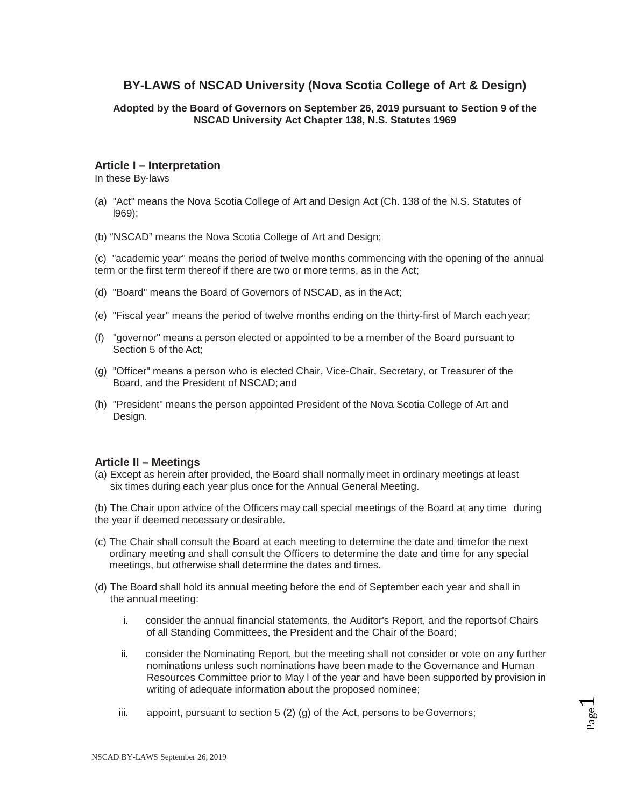# **BY-LAWS of NSCAD University (Nova Scotia College of Art & Design)**

### **Adopted by the Board of Governors on September 26, 2019 pursuant to Section 9 of the NSCAD University Act Chapter 138, N.S. Statutes 1969**

### **Article I – Interpretation**

In these By-laws

- (a) "Act" means the Nova Scotia College of Art and Design Act (Ch. 138 of the N.S. Statutes of l969);
- (b) "NSCAD" means the Nova Scotia College of Art and Design;

(c) "academic year" means the period of twelve months commencing with the opening of the annual term or the first term thereof if there are two or more terms, as in the Act;

- (d) "Board" means the Board of Governors of NSCAD, as in theAct;
- (e) "Fiscal year" means the period of twelve months ending on the thirty-first of March each year;
- (f) "governor" means a person elected or appointed to be a member of the Board pursuant to Section 5 of the Act;
- (g) "Officer" means a person who is elected Chair, Vice-Chair, Secretary, or Treasurer of the Board, and the President of NSCAD; and
- (h) "President" means the person appointed President of the Nova Scotia College of Art and Design.

### **Article II – Meetings**

(a) Except as herein after provided, the Board shall normally meet in ordinary meetings at least six times during each year plus once for the Annual General Meeting.

(b) The Chair upon advice of the Officers may call special meetings of the Board at any time during the year if deemed necessary ordesirable.

- (c) The Chair shall consult the Board at each meeting to determine the date and timefor the next ordinary meeting and shall consult the Officers to determine the date and time for any special meetings, but otherwise shall determine the dates and times.
- (d) The Board shall hold its annual meeting before the end of September each year and shall in the annual meeting:
	- i. consider the annual financial statements, the Auditor's Report, and the reportsof Chairs of all Standing Committees, the President and the Chair of the Board;
	- ii. consider the Nominating Report, but the meeting shall not consider or vote on any further nominations unless such nominations have been made to the Governance and Human Resources Committee prior to May l of the year and have been supported by provision in writing of adequate information about the proposed nominee;
	- iii. appoint, pursuant to section 5 (2) (g) of the Act, persons to beGovernors;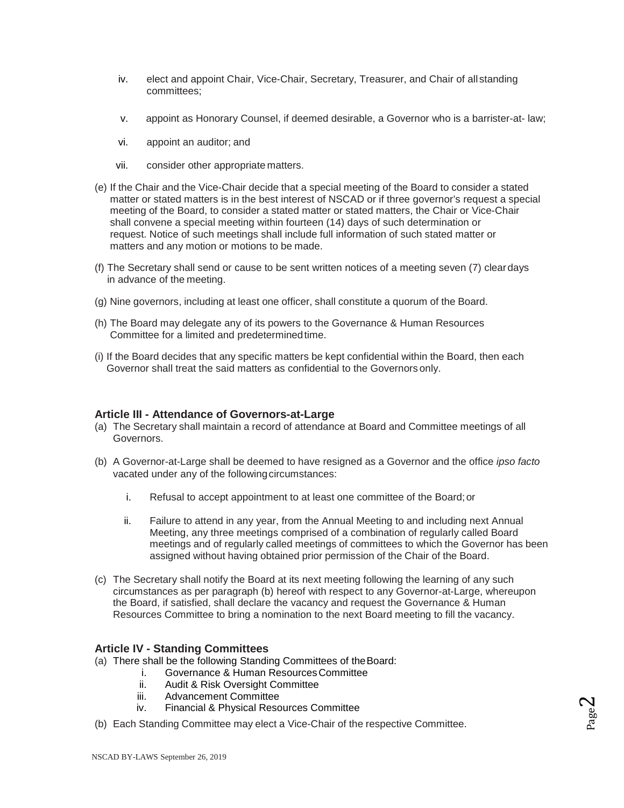- iv. elect and appoint Chair, Vice-Chair, Secretary, Treasurer, and Chair of all standing committees;
- v. appoint as Honorary Counsel, if deemed desirable, a Governor who is a barrister-at- law;
- vi. appoint an auditor; and
- vii. consider other appropriate matters.
- (e) If the Chair and the Vice-Chair decide that a special meeting of the Board to consider a stated matter or stated matters is in the best interest of NSCAD or if three governor's request a special meeting of the Board, to consider a stated matter or stated matters, the Chair or Vice-Chair shall convene a special meeting within fourteen (14) days of such determination or request. Notice of such meetings shall include full information of such stated matter or matters and any motion or motions to be made.
- (f) The Secretary shall send or cause to be sent written notices of a meeting seven (7) cleardays in advance of the meeting.
- (g) Nine governors, including at least one officer, shall constitute a quorum of the Board.
- (h) The Board may delegate any of its powers to the Governance & Human Resources Committee for a limited and predeterminedtime.
- (i) If the Board decides that any specific matters be kept confidential within the Board, then each Governor shall treat the said matters as confidential to the Governors only.

### **Article III - Attendance of Governors-at-Large**

- (a) The Secretary shall maintain a record of attendance at Board and Committee meetings of all Governors.
- (b) A Governor-at-Large shall be deemed to have resigned as a Governor and the office *ipso facto*  vacated under any of the following circumstances:
	- i. Refusal to accept appointment to at least one committee of the Board;or
	- ii. Failure to attend in any year, from the Annual Meeting to and including next Annual Meeting, any three meetings comprised of a combination of regularly called Board meetings and of regularly called meetings of committees to which the Governor has been assigned without having obtained prior permission of the Chair of the Board.
- (c) The Secretary shall notify the Board at its next meeting following the learning of any such circumstances as per paragraph (b) hereof with respect to any Governor-at-Large, whereupon the Board, if satisfied, shall declare the vacancy and request the Governance & Human Resources Committee to bring a nomination to the next Board meeting to fill the vacancy.

### **Article IV - Standing Committees**

- (a) There shall be the following Standing Committees of theBoard:
	- i. Governance & Human Resources Committee<br>ii. Audit & Risk Oversight Committee
	- Audit & Risk Oversight Committee
	- iii. Advancement Committee
	- iv. Financial & Physical Resources Committee
- (b) Each Standing Committee may elect a Vice-Chair of the respective Committee.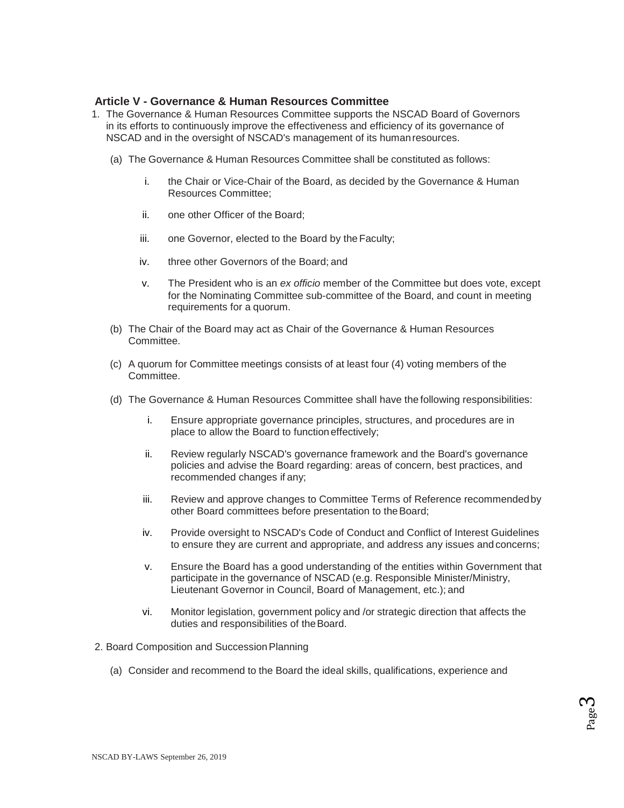# **Article V - Governance & Human Resources Committee**

- 1. The Governance & Human Resources Committee supports the NSCAD Board of Governors in its efforts to continuously improve the effectiveness and efficiency of its governance of NSCAD and in the oversight of NSCAD's management of its humanresources.
	- (a) The Governance & Human Resources Committee shall be constituted as follows:
		- i. the Chair or Vice-Chair of the Board, as decided by the Governance & Human Resources Committee;
		- ii. one other Officer of the Board;
		- iii. one Governor, elected to the Board by the Faculty;
		- iv. three other Governors of the Board; and
		- v. The President who is an *ex officio* member of the Committee but does vote, except for the Nominating Committee sub-committee of the Board, and count in meeting requirements for a quorum.
	- (b) The Chair of the Board may act as Chair of the Governance & Human Resources Committee.
	- (c) A quorum for Committee meetings consists of at least four (4) voting members of the Committee.
	- (d) The Governance & Human Resources Committee shall have the following responsibilities:
		- i. Ensure appropriate governance principles, structures, and procedures are in place to allow the Board to function effectively;
		- ii. Review regularly NSCAD's governance framework and the Board's governance policies and advise the Board regarding: areas of concern, best practices, and recommended changes if any;
		- iii. Review and approve changes to Committee Terms of Reference recommendedby other Board committees before presentation to theBoard;
		- iv. Provide oversight to NSCAD's Code of Conduct and Conflict of Interest Guidelines to ensure they are current and appropriate, and address any issues and concerns;
		- v. Ensure the Board has a good understanding of the entities within Government that participate in the governance of NSCAD (e.g. Responsible Minister/Ministry, Lieutenant Governor in Council, Board of Management, etc.); and
		- vi. Monitor legislation, government policy and /or strategic direction that affects the duties and responsibilities of the Board.
- 2. Board Composition and Succession Planning
	- (a) Consider and recommend to the Board the ideal skills, qualifications, experience and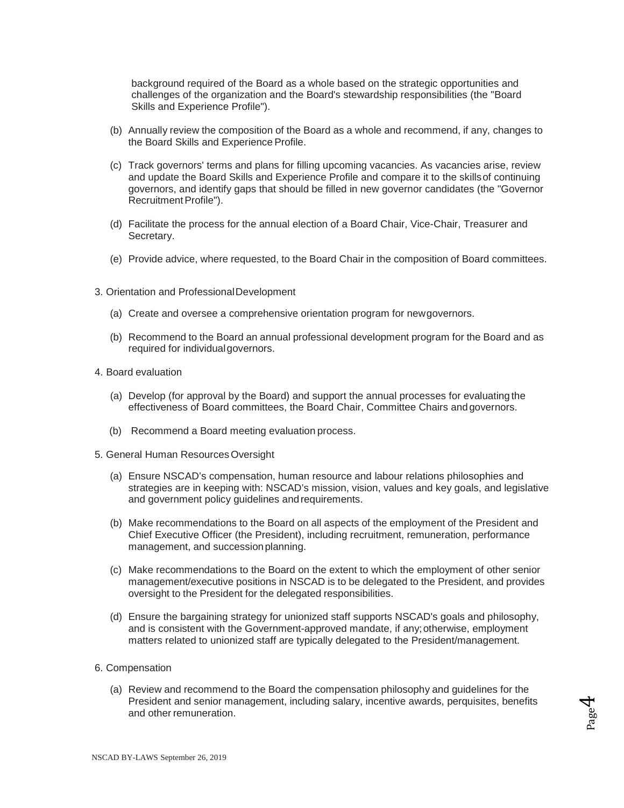background required of the Board as a whole based on the strategic opportunities and challenges of the organization and the Board's stewardship responsibilities (the "Board Skills and Experience Profile").

- (b) Annually review the composition of the Board as a whole and recommend, if any, changes to the Board Skills and Experience Profile.
- (c) Track governors' terms and plans for filling upcoming vacancies. As vacancies arise, review and update the Board Skills and Experience Profile and compare it to the skills of continuing governors, and identify gaps that should be filled in new governor candidates (the "Governor Recruitment Profile").
- (d) Facilitate the process for the annual election of a Board Chair, Vice-Chair, Treasurer and Secretary.
- (e) Provide advice, where requested, to the Board Chair in the composition of Board committees.
- 3. Orientation and ProfessionalDevelopment
	- (a) Create and oversee a comprehensive orientation program for newgovernors.
	- (b) Recommend to the Board an annual professional development program for the Board and as required for individualgovernors.
- 4. Board evaluation
	- (a) Develop (for approval by the Board) and support the annual processes for evaluating the effectiveness of Board committees, the Board Chair, Committee Chairs andgovernors.
	- (b) Recommend a Board meeting evaluation process.
- 5. General Human ResourcesOversight
	- (a) Ensure NSCAD's compensation, human resource and labour relations philosophies and strategies are in keeping with: NSCAD's mission, vision, values and key goals, and legislative and government policy guidelines andrequirements.
	- (b) Make recommendations to the Board on all aspects of the employment of the President and Chief Executive Officer (the President), including recruitment, remuneration, performance management, and successionplanning.
	- (c) Make recommendations to the Board on the extent to which the employment of other senior management/executive positions in NSCAD is to be delegated to the President, and provides oversight to the President for the delegated responsibilities.
	- (d) Ensure the bargaining strategy for unionized staff supports NSCAD's goals and philosophy, and is consistent with the Government-approved mandate, if any;otherwise, employment matters related to unionized staff are typically delegated to the President/management.
- 6. Compensation
	- (a) Review and recommend to the Board the compensation philosophy and guidelines for the President and senior management, including salary, incentive awards, perquisites, benefits and other remuneration.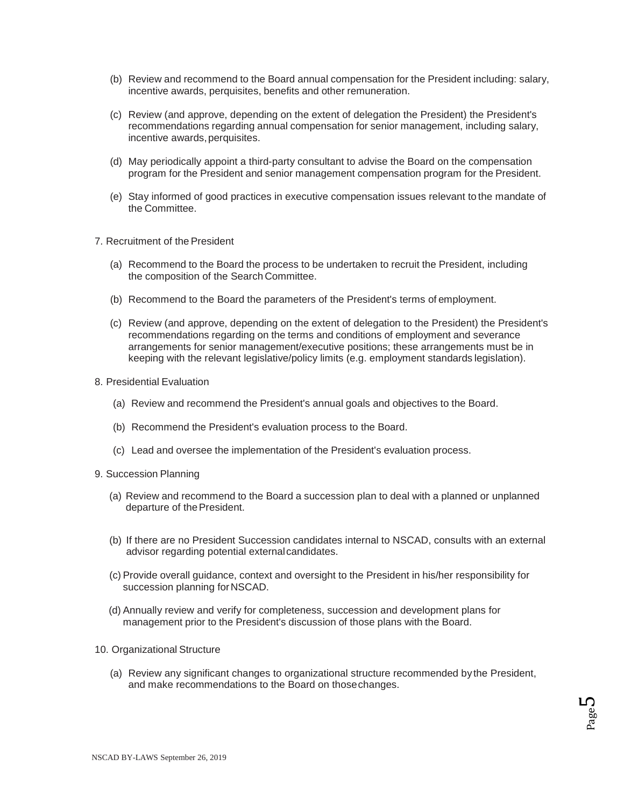- (b) Review and recommend to the Board annual compensation for the President including: salary, incentive awards, perquisites, benefits and other remuneration.
- (c) Review (and approve, depending on the extent of delegation the President) the President's recommendations regarding annual compensation for senior management, including salary, incentive awards, perquisites.
- (d) May periodically appoint a third-party consultant to advise the Board on the compensation program for the President and senior management compensation program for the President.
- (e) Stay informed of good practices in executive compensation issues relevant to the mandate of the Committee.
- 7. Recruitment of the President
	- (a) Recommend to the Board the process to be undertaken to recruit the President, including the composition of the Search Committee.
	- (b) Recommend to the Board the parameters of the President's terms of employment.
	- (c) Review (and approve, depending on the extent of delegation to the President) the President's recommendations regarding on the terms and conditions of employment and severance arrangements for senior management/executive positions; these arrangements must be in keeping with the relevant legislative/policy limits (e.g. employment standards legislation).
- 8. Presidential Evaluation
	- (a) Review and recommend the President's annual goals and objectives to the Board.
	- (b) Recommend the President's evaluation process to the Board.
	- (c) Lead and oversee the implementation of the President's evaluation process.
- 9. Succession Planning
	- (a) Review and recommend to the Board a succession plan to deal with a planned or unplanned departure of the President.
	- (b) If there are no President Succession candidates internal to NSCAD, consults with an external advisor regarding potential externalcandidates.
	- (c) Provide overall guidance, context and oversight to the President in his/her responsibility for succession planning for NSCAD.
	- (d) Annually review and verify for completeness, succession and development plans for management prior to the President's discussion of those plans with the Board.
- 10. Organizational Structure
	- (a) Review any significant changes to organizational structure recommended by the President, and make recommendations to the Board on thosechanges.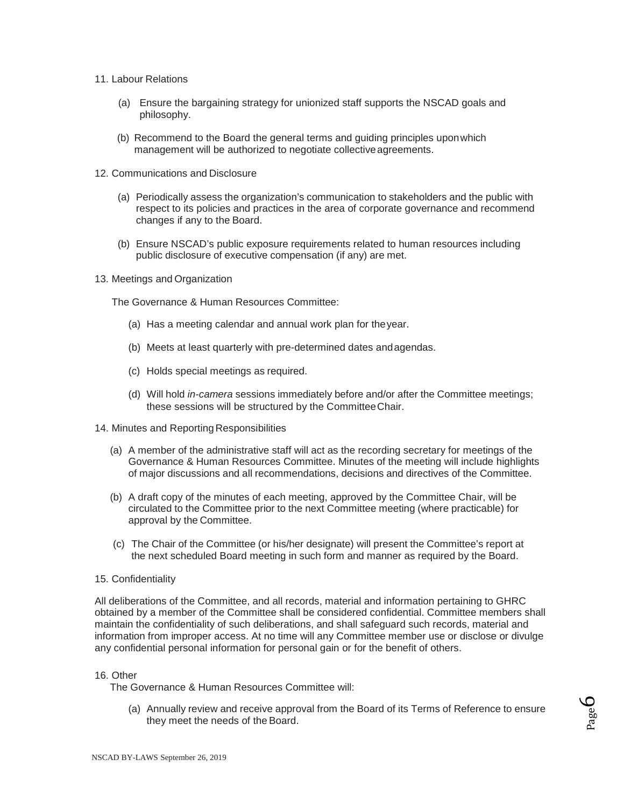- 11. Labour Relations
	- (a) Ensure the bargaining strategy for unionized staff supports the NSCAD goals and philosophy.
	- (b) Recommend to the Board the general terms and guiding principles uponwhich management will be authorized to negotiate collective agreements.
- 12. Communications and Disclosure
	- (a) Periodically assess the organization's communication to stakeholders and the public with respect to its policies and practices in the area of corporate governance and recommend changes if any to the Board.
	- (b) Ensure NSCAD's public exposure requirements related to human resources including public disclosure of executive compensation (if any) are met.
- 13. Meetings and Organization

The Governance & Human Resources Committee:

- (a) Has a meeting calendar and annual work plan for theyear.
- (b) Meets at least quarterly with pre-determined dates andagendas.
- (c) Holds special meetings as required.
- (d) Will hold *in-camera* sessions immediately before and/or after the Committee meetings; these sessions will be structured by the CommitteeChair.
- 14. Minutes and Reporting Responsibilities
	- (a) A member of the administrative staff will act as the recording secretary for meetings of the Governance & Human Resources Committee. Minutes of the meeting will include highlights of major discussions and all recommendations, decisions and directives of the Committee.
	- (b) A draft copy of the minutes of each meeting, approved by the Committee Chair, will be circulated to the Committee prior to the next Committee meeting (where practicable) for approval by the Committee.
	- (c) The Chair of the Committee (or his/her designate) will present the Committee's report at the next scheduled Board meeting in such form and manner as required by the Board.
- 15. Confidentiality

All deliberations of the Committee, and all records, material and information pertaining to GHRC obtained by a member of the Committee shall be considered confidential. Committee members shall maintain the confidentiality of such deliberations, and shall safeguard such records, material and information from improper access. At no time will any Committee member use or disclose or divulge any confidential personal information for personal gain or for the benefit of others.

#### 16. Other

The Governance & Human Resources Committee will:

(a) Annually review and receive approval from the Board of its Terms of Reference to ensure they meet the needs of the Board.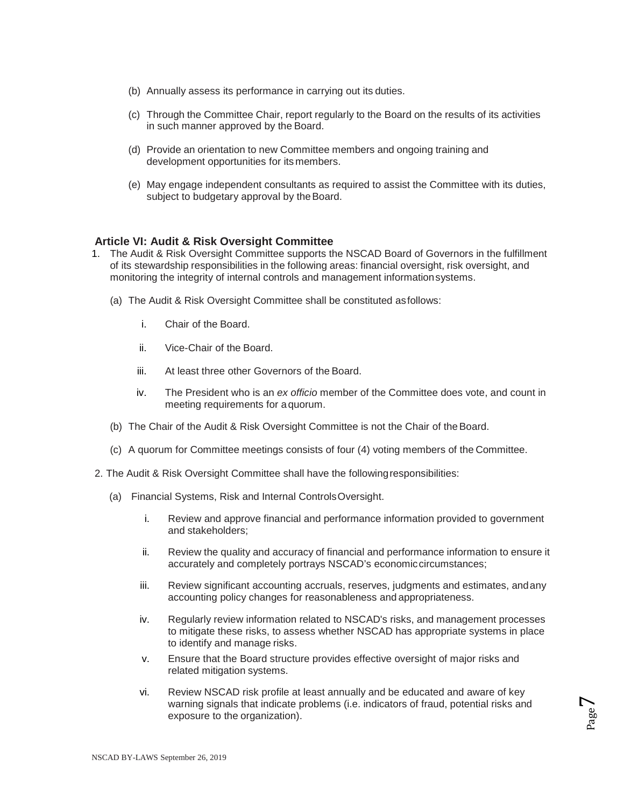- (b) Annually assess its performance in carrying out its duties.
- (c) Through the Committee Chair, report regularly to the Board on the results of its activities in such manner approved by the Board.
- (d) Provide an orientation to new Committee members and ongoing training and development opportunities for its members.
- (e) May engage independent consultants as required to assist the Committee with its duties, subject to budgetary approval by the Board.

### **Article VI: Audit & Risk Oversight Committee**

- 1. The Audit & Risk Oversight Committee supports the NSCAD Board of Governors in the fulfillment of its stewardship responsibilities in the following areas: financial oversight, risk oversight, and monitoring the integrity of internal controls and management informationsystems.
	- (a) The Audit & Risk Oversight Committee shall be constituted asfollows:
		- i. Chair of the Board.
		- ii. Vice-Chair of the Board.
		- iii. At least three other Governors of the Board.
		- iv. The President who is an *ex officio* member of the Committee does vote, and count in meeting requirements for aquorum.
	- (b) The Chair of the Audit & Risk Oversight Committee is not the Chair of the Board.
	- (c) A quorum for Committee meetings consists of four (4) voting members of the Committee.
- 2. The Audit & Risk Oversight Committee shall have the followingresponsibilities:
	- (a) Financial Systems, Risk and Internal ControlsOversight.
		- i. Review and approve financial and performance information provided to government and stakeholders;
		- ii. Review the quality and accuracy of financial and performance information to ensure it accurately and completely portrays NSCAD's economiccircumstances;
		- iii. Review significant accounting accruals, reserves, judgments and estimates, andany accounting policy changes for reasonableness and appropriateness.
		- iv. Regularly review information related to NSCAD's risks, and management processes to mitigate these risks, to assess whether NSCAD has appropriate systems in place to identify and manage risks.
		- v. Ensure that the Board structure provides effective oversight of major risks and related mitigation systems.
		- vi. Review NSCAD risk profile at least annually and be educated and aware of key warning signals that indicate problems (i.e. indicators of fraud, potential risks and exposure to the organization).

Page  $\blacktriangledown$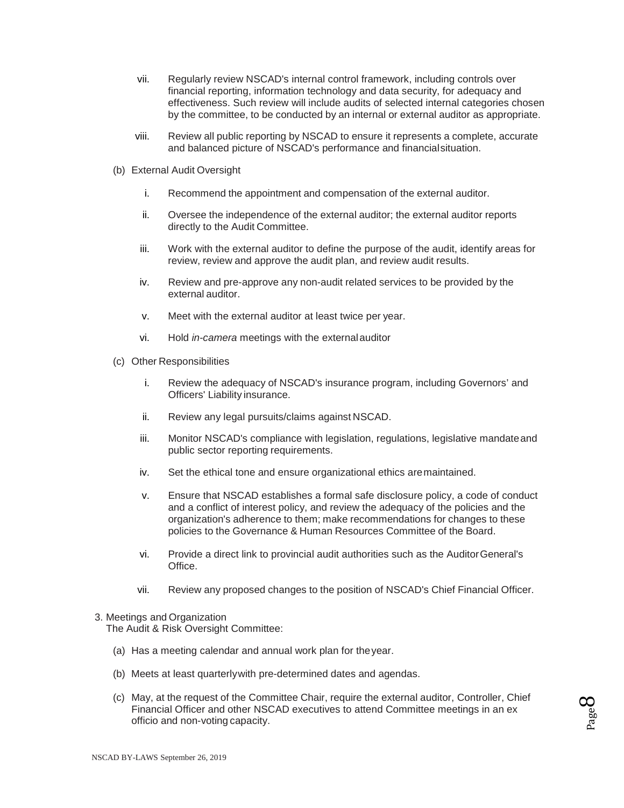- vii. Regularly review NSCAD's internal control framework, including controls over financial reporting, information technology and data security, for adequacy and effectiveness. Such review will include audits of selected internal categories chosen by the committee, to be conducted by an internal or external auditor as appropriate.
- viii. Review all public reporting by NSCAD to ensure it represents a complete, accurate and balanced picture of NSCAD's performance and financialsituation.
- (b) External Audit Oversight
	- i. Recommend the appointment and compensation of the external auditor.
	- ii. Oversee the independence of the external auditor; the external auditor reports directly to the Audit Committee.
	- iii. Work with the external auditor to define the purpose of the audit, identify areas for review, review and approve the audit plan, and review audit results.
	- iv. Review and pre-approve any non-audit related services to be provided by the external auditor.
	- v. Meet with the external auditor at least twice per year.
	- vi. Hold *in-camera* meetings with the externalauditor
- (c) Other Responsibilities
	- i. Review the adequacy of NSCAD's insurance program, including Governors' and Officers' Liability insurance.
	- ii. Review any legal pursuits/claims against NSCAD.
	- iii. Monitor NSCAD's compliance with legislation, regulations, legislative mandateand public sector reporting requirements.
	- iv. Set the ethical tone and ensure organizational ethics aremaintained.
	- v. Ensure that NSCAD establishes a formal safe disclosure policy, a code of conduct and a conflict of interest policy, and review the adequacy of the policies and the organization's adherence to them; make recommendations for changes to these policies to the Governance & Human Resources Committee of the Board.
	- vi. Provide a direct link to provincial audit authorities such as the AuditorGeneral's Office.
	- vii. Review any proposed changes to the position of NSCAD's Chief Financial Officer.

#### 3. Meetings and Organization

The Audit & Risk Oversight Committee:

- (a) Has a meeting calendar and annual work plan for theyear.
- (b) Meets at least quarterlywith pre-determined dates and agendas.
- (c) May, at the request of the Committee Chair, require the external auditor, Controller, Chief Financial Officer and other NSCAD executives to attend Committee meetings in an ex officio and non-voting capacity.

Page  $\infty$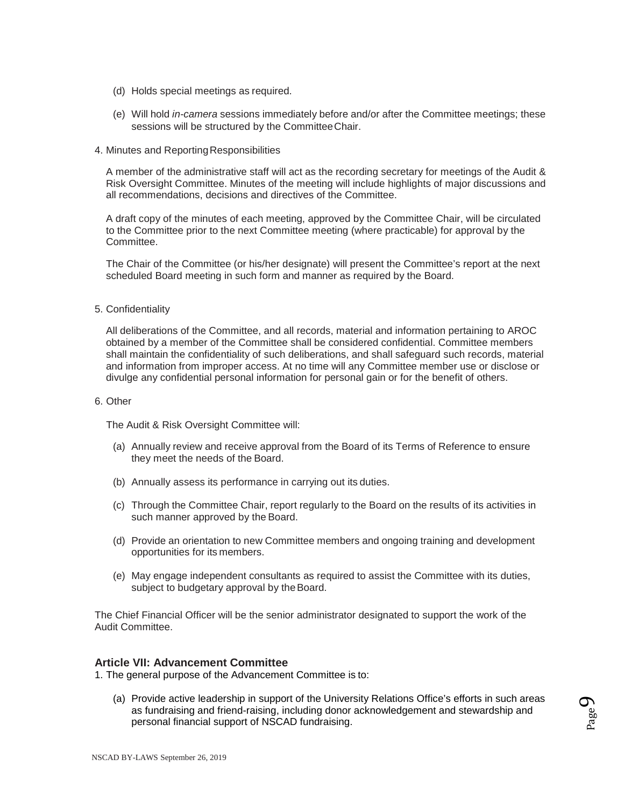- (d) Holds special meetings as required.
- (e) Will hold *in-camera* sessions immediately before and/or after the Committee meetings; these sessions will be structured by the CommitteeChair.
- 4. Minutes and Reporting Responsibilities

A member of the administrative staff will act as the recording secretary for meetings of the Audit & Risk Oversight Committee. Minutes of the meeting will include highlights of major discussions and all recommendations, decisions and directives of the Committee.

A draft copy of the minutes of each meeting, approved by the Committee Chair, will be circulated to the Committee prior to the next Committee meeting (where practicable) for approval by the Committee.

The Chair of the Committee (or his/her designate) will present the Committee's report at the next scheduled Board meeting in such form and manner as required by the Board.

5. Confidentiality

All deliberations of the Committee, and all records, material and information pertaining to AROC obtained by a member of the Committee shall be considered confidential. Committee members shall maintain the confidentiality of such deliberations, and shall safeguard such records, material and information from improper access. At no time will any Committee member use or disclose or divulge any confidential personal information for personal gain or for the benefit of others.

#### 6. Other

The Audit & Risk Oversight Committee will:

- (a) Annually review and receive approval from the Board of its Terms of Reference to ensure they meet the needs of the Board.
- (b) Annually assess its performance in carrying out its duties.
- (c) Through the Committee Chair, report regularly to the Board on the results of its activities in such manner approved by the Board.
- (d) Provide an orientation to new Committee members and ongoing training and development opportunities for its members.
- (e) May engage independent consultants as required to assist the Committee with its duties, subject to budgetary approval by the Board.

The Chief Financial Officer will be the senior administrator designated to support the work of the Audit Committee.

#### **Article VII: Advancement Committee**

1. The general purpose of the Advancement Committee is to:

(a) Provide active leadership in support of the University Relations Office's efforts in such areas as fundraising and friend-raising, including donor acknowledgement and stewardship and personal financial support of NSCAD fundraising.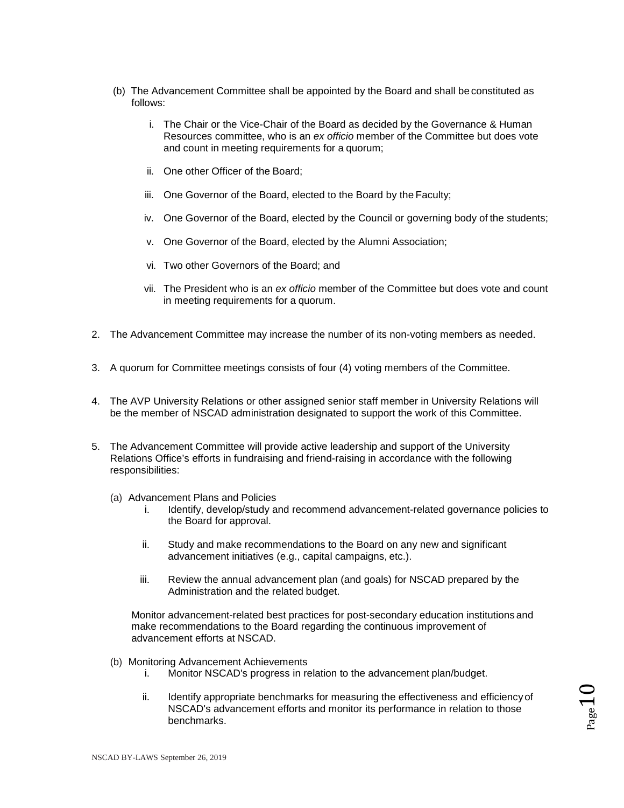- (b) The Advancement Committee shall be appointed by the Board and shall be constituted as follows:
	- i. The Chair or the Vice-Chair of the Board as decided by the Governance & Human Resources committee, who is an *ex officio* member of the Committee but does vote and count in meeting requirements for a quorum;
	- ii. One other Officer of the Board;
	- iii. One Governor of the Board, elected to the Board by the Faculty;
	- iv. One Governor of the Board, elected by the Council or governing body of the students;
	- v. One Governor of the Board, elected by the Alumni Association;
	- vi. Two other Governors of the Board; and
	- vii. The President who is an *ex officio* member of the Committee but does vote and count in meeting requirements for a quorum.
- 2. The Advancement Committee may increase the number of its non-voting members as needed.
- 3. A quorum for Committee meetings consists of four (4) voting members of the Committee.
- 4. The AVP University Relations or other assigned senior staff member in University Relations will be the member of NSCAD administration designated to support the work of this Committee.
- 5. The Advancement Committee will provide active leadership and support of the University Relations Office's efforts in fundraising and friend-raising in accordance with the following responsibilities:
	- (a) Advancement Plans and Policies
		- i. Identify, develop/study and recommend advancement-related governance policies to the Board for approval.
		- ii. Study and make recommendations to the Board on any new and significant advancement initiatives (e.g., capital campaigns, etc.).
		- iii. Review the annual advancement plan (and goals) for NSCAD prepared by the Administration and the related budget.

Monitor advancement-related best practices for post-secondary education institutions and make recommendations to the Board regarding the continuous improvement of advancement efforts at NSCAD.

- (b) Monitoring Advancement Achievements
	- i. Monitor NSCAD's progress in relation to the advancement plan/budget.
	- ii. Identify appropriate benchmarks for measuring the effectiveness and efficiency of NSCAD's advancement efforts and monitor its performance in relation to those benchmarks.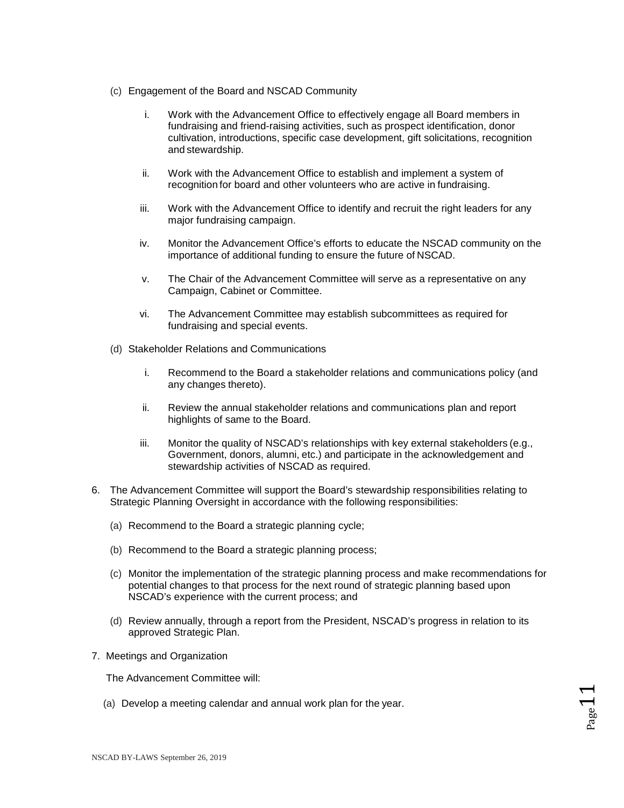- (c) Engagement of the Board and NSCAD Community
	- i. Work with the Advancement Office to effectively engage all Board members in fundraising and friend-raising activities, such as prospect identification, donor cultivation, introductions, specific case development, gift solicitations, recognition and stewardship.
	- ii. Work with the Advancement Office to establish and implement a system of recognition for board and other volunteers who are active in fundraising.
	- iii. Work with the Advancement Office to identify and recruit the right leaders for any major fundraising campaign.
	- iv. Monitor the Advancement Office's efforts to educate the NSCAD community on the importance of additional funding to ensure the future of NSCAD.
	- v. The Chair of the Advancement Committee will serve as a representative on any Campaign, Cabinet or Committee.
	- vi. The Advancement Committee may establish subcommittees as required for fundraising and special events.
- (d) Stakeholder Relations and Communications
	- i. Recommend to the Board a stakeholder relations and communications policy (and any changes thereto).
	- ii. Review the annual stakeholder relations and communications plan and report highlights of same to the Board.
	- iii. Monitor the quality of NSCAD's relationships with key external stakeholders (e.g., Government, donors, alumni, etc.) and participate in the acknowledgement and stewardship activities of NSCAD as required.
- 6. The Advancement Committee will support the Board's stewardship responsibilities relating to Strategic Planning Oversight in accordance with the following responsibilities:
	- (a) Recommend to the Board a strategic planning cycle;
	- (b) Recommend to the Board a strategic planning process;
	- (c) Monitor the implementation of the strategic planning process and make recommendations for potential changes to that process for the next round of strategic planning based upon NSCAD's experience with the current process; and
	- (d) Review annually, through a report from the President, NSCAD's progress in relation to its approved Strategic Plan.
- 7. Meetings and Organization

The Advancement Committee will:

(a) Develop a meeting calendar and annual work plan for the year.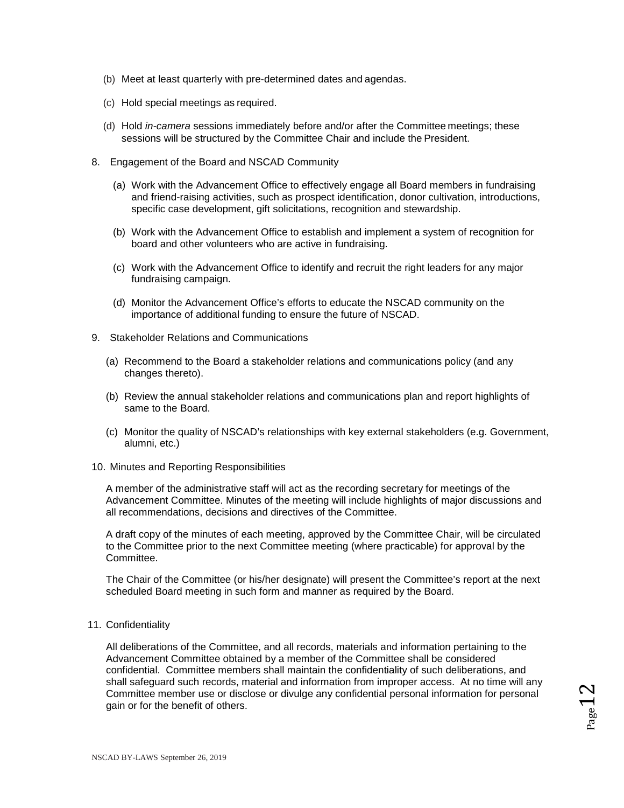- (b) Meet at least quarterly with pre-determined dates and agendas.
- (c) Hold special meetings as required.
- (d) Hold *in-camera* sessions immediately before and/or after the Committee meetings; these sessions will be structured by the Committee Chair and include the President.
- 8. Engagement of the Board and NSCAD Community
	- (a) Work with the Advancement Office to effectively engage all Board members in fundraising and friend-raising activities, such as prospect identification, donor cultivation, introductions, specific case development, gift solicitations, recognition and stewardship.
	- (b) Work with the Advancement Office to establish and implement a system of recognition for board and other volunteers who are active in fundraising.
	- (c) Work with the Advancement Office to identify and recruit the right leaders for any major fundraising campaign.
	- (d) Monitor the Advancement Office's efforts to educate the NSCAD community on the importance of additional funding to ensure the future of NSCAD.
- 9. Stakeholder Relations and Communications
	- (a) Recommend to the Board a stakeholder relations and communications policy (and any changes thereto).
	- (b) Review the annual stakeholder relations and communications plan and report highlights of same to the Board.
	- (c) Monitor the quality of NSCAD's relationships with key external stakeholders (e.g. Government, alumni, etc.)
- 10. Minutes and Reporting Responsibilities

A member of the administrative staff will act as the recording secretary for meetings of the Advancement Committee. Minutes of the meeting will include highlights of major discussions and all recommendations, decisions and directives of the Committee.

A draft copy of the minutes of each meeting, approved by the Committee Chair, will be circulated to the Committee prior to the next Committee meeting (where practicable) for approval by the Committee.

The Chair of the Committee (or his/her designate) will present the Committee's report at the next scheduled Board meeting in such form and manner as required by the Board.

11. Confidentiality

All deliberations of the Committee, and all records, materials and information pertaining to the Advancement Committee obtained by a member of the Committee shall be considered confidential. Committee members shall maintain the confidentiality of such deliberations, and shall safeguard such records, material and information from improper access. At no time will any Committee member use or disclose or divulge any confidential personal information for personal gain or for the benefit of others.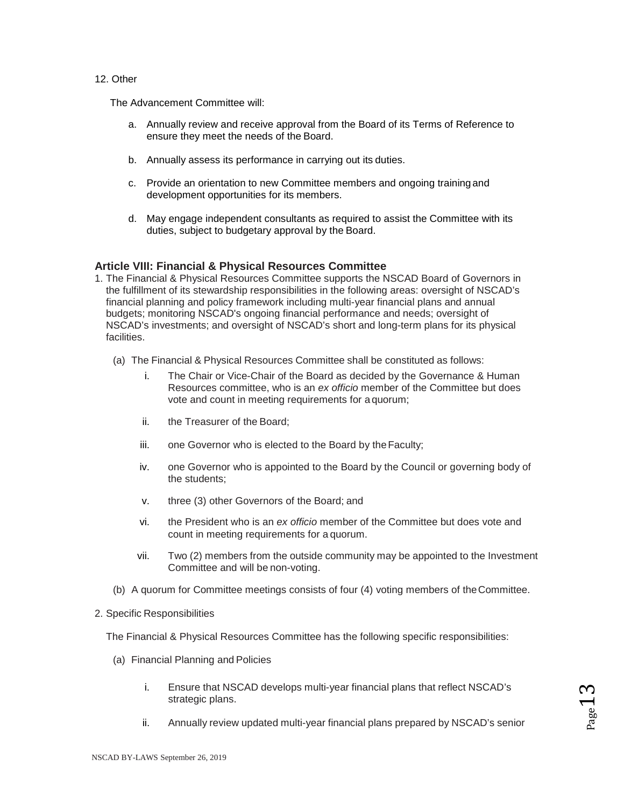#### 12. Other

The Advancement Committee will:

- a. Annually review and receive approval from the Board of its Terms of Reference to ensure they meet the needs of the Board.
- b. Annually assess its performance in carrying out its duties.
- c. Provide an orientation to new Committee members and ongoing training and development opportunities for its members.
- d. May engage independent consultants as required to assist the Committee with its duties, subject to budgetary approval by the Board.

### **Article VIII: Financial & Physical Resources Committee**

- 1. The Financial & Physical Resources Committee supports the NSCAD Board of Governors in the fulfillment of its stewardship responsibilities in the following areas: oversight of NSCAD's financial planning and policy framework including multi-year financial plans and annual budgets; monitoring NSCAD's ongoing financial performance and needs; oversight of NSCAD's investments; and oversight of NSCAD's short and long-term plans for its physical facilities.
	- (a) The Financial & Physical Resources Committee shall be constituted as follows:
		- i. The Chair or Vice-Chair of the Board as decided by the Governance & Human Resources committee, who is an *ex officio* member of the Committee but does vote and count in meeting requirements for a quorum;
		- ii. the Treasurer of the Board;
		- iii. one Governor who is elected to the Board by theFaculty;
		- iv. one Governor who is appointed to the Board by the Council or governing body of the students;
		- v. three (3) other Governors of the Board; and
		- vi. the President who is an *ex officio* member of the Committee but does vote and count in meeting requirements for a quorum.
		- vii. Two (2) members from the outside community may be appointed to the Investment Committee and will be non-voting.
	- (b) A quorum for Committee meetings consists of four (4) voting members of theCommittee.

#### 2. Specific Responsibilities

The Financial & Physical Resources Committee has the following specific responsibilities:

- (a) Financial Planning and Policies
	- i. Ensure that NSCAD develops multi-year financial plans that reflect NSCAD's strategic plans.
	- ii. Annually review updated multi-year financial plans prepared by NSCAD's senior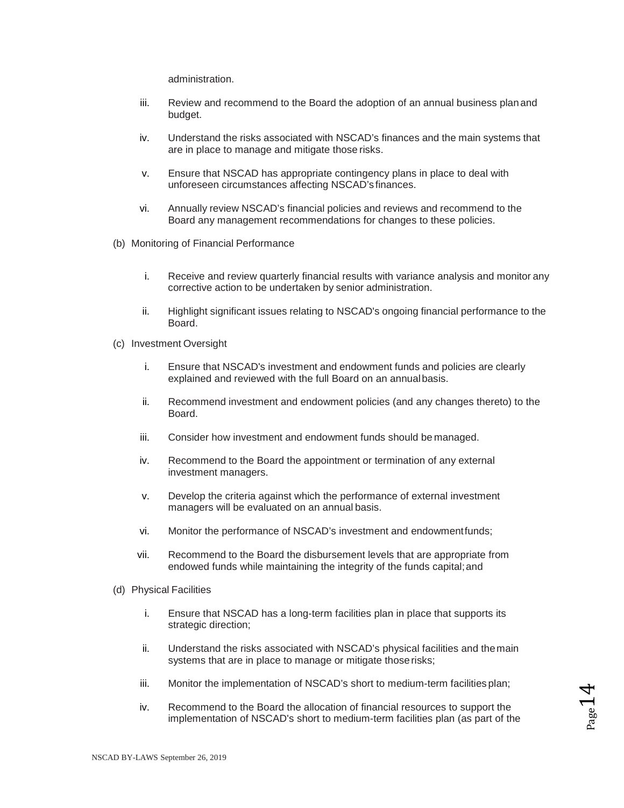administration.

- iii. Review and recommend to the Board the adoption of an annual business planand budget.
- iv. Understand the risks associated with NSCAD's finances and the main systems that are in place to manage and mitigate those risks.
- v. Ensure that NSCAD has appropriate contingency plans in place to deal with unforeseen circumstances affecting NSCAD's finances.
- vi. Annually review NSCAD's financial policies and reviews and recommend to the Board any management recommendations for changes to these policies.
- (b) Monitoring of Financial Performance
	- i. Receive and review quarterly financial results with variance analysis and monitor any corrective action to be undertaken by senior administration.
	- ii. Highlight significant issues relating to NSCAD's ongoing financial performance to the Board.
- (c) Investment Oversight
	- i. Ensure that NSCAD's investment and endowment funds and policies are clearly explained and reviewed with the full Board on an annualbasis.
	- ii. Recommend investment and endowment policies (and any changes thereto) to the Board.
	- iii. Consider how investment and endowment funds should be managed.
	- iv. Recommend to the Board the appointment or termination of any external investment managers.
	- v. Develop the criteria against which the performance of external investment managers will be evaluated on an annual basis.
	- vi. Monitor the performance of NSCAD's investment and endowmentfunds;
	- vii. Recommend to the Board the disbursement levels that are appropriate from endowed funds while maintaining the integrity of the funds capital; and
- (d) Physical Facilities
	- i. Ensure that NSCAD has a long-term facilities plan in place that supports its strategic direction;
	- ii. Understand the risks associated with NSCAD's physical facilities and themain systems that are in place to manage or mitigate those risks;
	- iii. Monitor the implementation of NSCAD's short to medium-term facilities plan;
	- iv. Recommend to the Board the allocation of financial resources to support the implementation of NSCAD's short to medium-term facilities plan (as part of the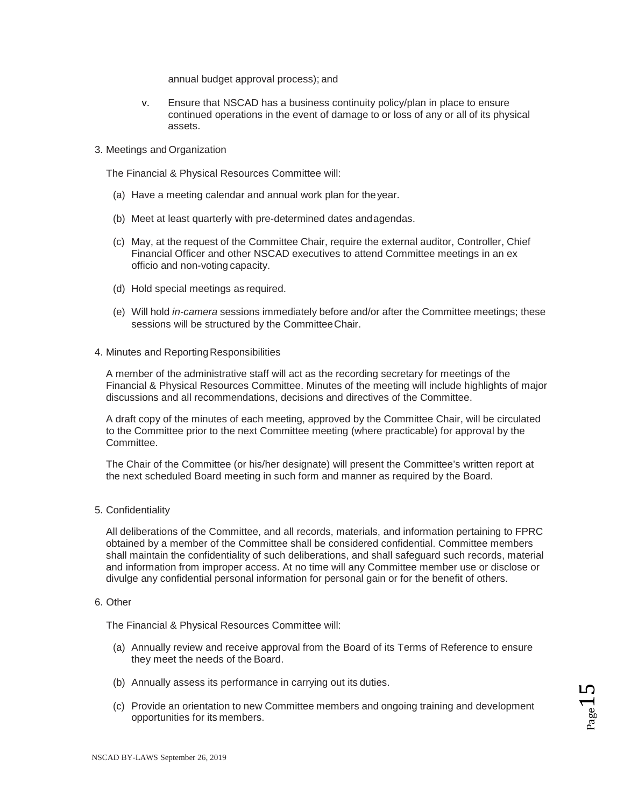annual budget approval process); and

- v. Ensure that NSCAD has a business continuity policy/plan in place to ensure continued operations in the event of damage to or loss of any or all of its physical assets.
- 3. Meetings and Organization

The Financial & Physical Resources Committee will:

- (a) Have a meeting calendar and annual work plan for theyear.
- (b) Meet at least quarterly with pre-determined dates andagendas.
- (c) May, at the request of the Committee Chair, require the external auditor, Controller, Chief Financial Officer and other NSCAD executives to attend Committee meetings in an ex officio and non-voting capacity.
- (d) Hold special meetings as required.
- (e) Will hold *in-camera* sessions immediately before and/or after the Committee meetings; these sessions will be structured by the CommitteeChair.

#### 4. Minutes and Reporting Responsibilities

A member of the administrative staff will act as the recording secretary for meetings of the Financial & Physical Resources Committee. Minutes of the meeting will include highlights of major discussions and all recommendations, decisions and directives of the Committee.

A draft copy of the minutes of each meeting, approved by the Committee Chair, will be circulated to the Committee prior to the next Committee meeting (where practicable) for approval by the Committee.

The Chair of the Committee (or his/her designate) will present the Committee's written report at the next scheduled Board meeting in such form and manner as required by the Board.

5. Confidentiality

All deliberations of the Committee, and all records, materials, and information pertaining to FPRC obtained by a member of the Committee shall be considered confidential. Committee members shall maintain the confidentiality of such deliberations, and shall safeguard such records, material and information from improper access. At no time will any Committee member use or disclose or divulge any confidential personal information for personal gain or for the benefit of others.

#### 6. Other

The Financial & Physical Resources Committee will:

- (a) Annually review and receive approval from the Board of its Terms of Reference to ensure they meet the needs of the Board.
- (b) Annually assess its performance in carrying out its duties.
- (c) Provide an orientation to new Committee members and ongoing training and development opportunities for its members.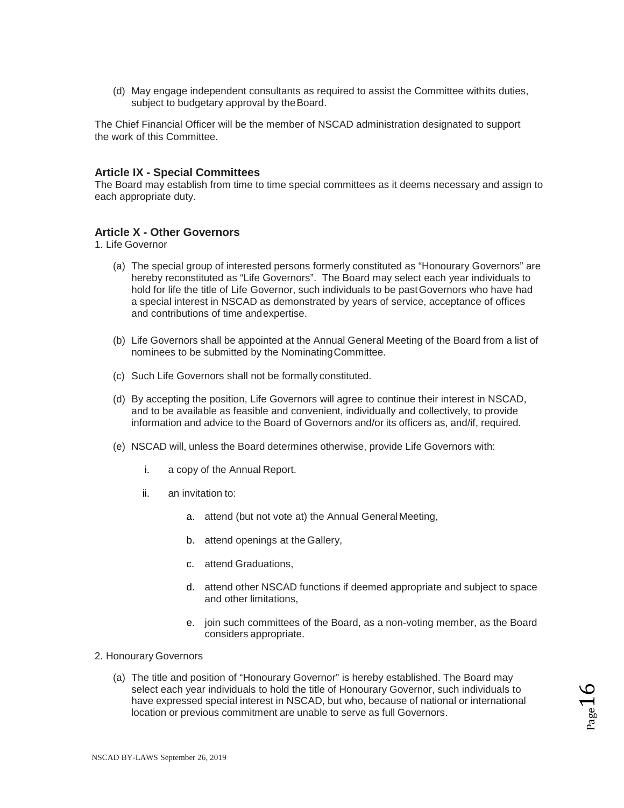(d) May engage independent consultants as required to assist the Committee withits duties, subject to budgetary approval by the Board.

The Chief Financial Officer will be the member of NSCAD administration designated to support the work of this Committee.

#### **Article IX - Special Committees**

The Board may establish from time to time special committees as it deems necessary and assign to each appropriate duty.

### **Article X - Other Governors**

1. Life Governor

- (a) The special group of interested persons formerly constituted as "Honourary Governors" are hereby reconstituted as "Life Governors". The Board may select each year individuals to hold for life the title of Life Governor, such individuals to be pastGovernors who have had a special interest in NSCAD as demonstrated by years of service, acceptance of offices and contributions of time andexpertise.
- (b) Life Governors shall be appointed at the Annual General Meeting of the Board from a list of nominees to be submitted by the NominatingCommittee.
- (c) Such Life Governors shall not be formally constituted.
- (d) By accepting the position, Life Governors will agree to continue their interest in NSCAD, and to be available as feasible and convenient, individually and collectively, to provide information and advice to the Board of Governors and/or its officers as, and/if, required.
- (e) NSCAD will, unless the Board determines otherwise, provide Life Governors with:
	- i. a copy of the Annual Report.
	- ii. an invitation to:
		- a. attend (but not vote at) the Annual GeneralMeeting,
		- b. attend openings at the Gallery,
		- c. attend Graduations,
		- d. attend other NSCAD functions if deemed appropriate and subject to space and other limitations,
		- e. join such committees of the Board, as a non-voting member, as the Board considers appropriate.
- 2. Honourary Governors
	- (a) The title and position of "Honourary Governor" is hereby established. The Board may select each year individuals to hold the title of Honourary Governor, such individuals to have expressed special interest in NSCAD, but who, because of national or international location or previous commitment are unable to serve as full Governors.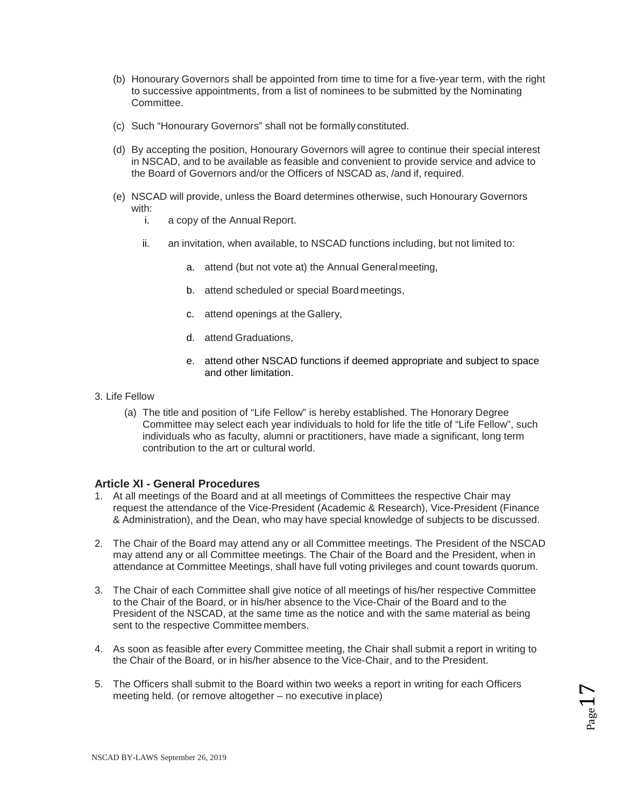- (b) Honourary Governors shall be appointed from time to time for a five-year term, with the right to successive appointments, from a list of nominees to be submitted by the Nominating Committee.
- (c) Such "Honourary Governors" shall not be formally constituted.
- (d) By accepting the position, Honourary Governors will agree to continue their special interest in NSCAD, and to be available as feasible and convenient to provide service and advice to the Board of Governors and/or the Officers of NSCAD as, /and if, required.
- (e) NSCAD will provide, unless the Board determines otherwise, such Honourary Governors with:<br>i.
	- a copy of the Annual Report.
	- ii. an invitation, when available, to NSCAD functions including, but not limited to:
		- a. attend (but not vote at) the Annual Generalmeeting,
		- b. attend scheduled or special Board meetings,
		- c. attend openings at the Gallery,
		- d. attend Graduations,
		- e. attend other NSCAD functions if deemed appropriate and subject to space and other limitation.
- 3. Life Fellow
	- (a) The title and position of "Life Fellow" is hereby established. The Honorary Degree Committee may select each year individuals to hold for life the title of "Life Fellow", such individuals who as faculty, alumni or practitioners, have made a significant, long term contribution to the art or cultural world.

### **Article XI - General Procedures**

- 1. At all meetings of the Board and at all meetings of Committees the respective Chair may request the attendance of the Vice-President (Academic & Research), Vice-President (Finance & Administration), and the Dean, who may have special knowledge of subjects to be discussed.
- 2. The Chair of the Board may attend any or all Committee meetings. The President of the NSCAD may attend any or all Committee meetings. The Chair of the Board and the President, when in attendance at Committee Meetings, shall have full voting privileges and count towards quorum.
- 3. The Chair of each Committee shall give notice of all meetings of his/her respective Committee to the Chair of the Board, or in his/her absence to the Vice-Chair of the Board and to the President of the NSCAD, at the same time as the notice and with the same material as being sent to the respective Committee members.
- 4. As soon as feasible after every Committee meeting, the Chair shall submit a report in writing to the Chair of the Board, or in his/her absence to the Vice-Chair, and to the President.
- 5. The Officers shall submit to the Board within two weeks a report in writing for each Officers meeting held. (or remove altogether – no executive inplace)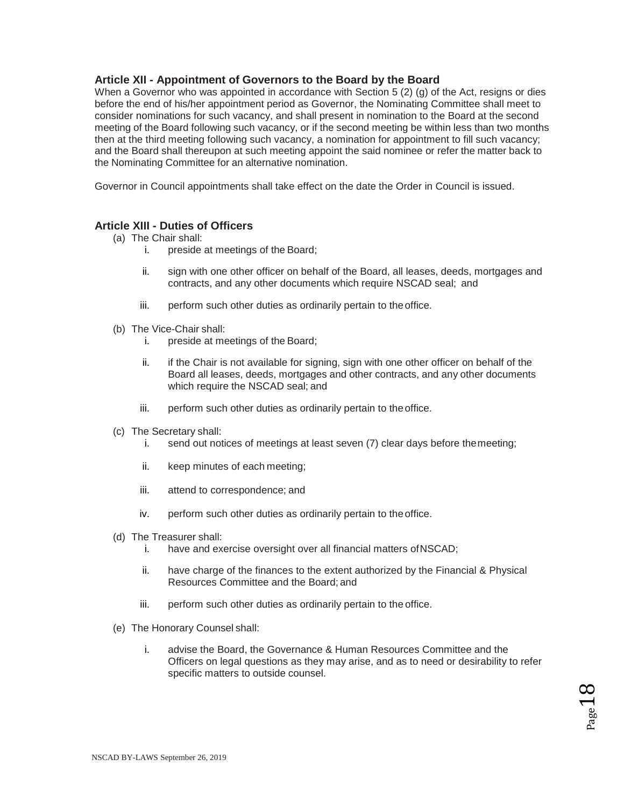# **Article XII - Appointment of Governors to the Board by the Board**

When a Governor who was appointed in accordance with Section 5 (2) (g) of the Act, resigns or dies before the end of his/her appointment period as Governor, the Nominating Committee shall meet to consider nominations for such vacancy, and shall present in nomination to the Board at the second meeting of the Board following such vacancy, or if the second meeting be within less than two months then at the third meeting following such vacancy, a nomination for appointment to fill such vacancy; and the Board shall thereupon at such meeting appoint the said nominee or refer the matter back to the Nominating Committee for an alternative nomination.

Governor in Council appointments shall take effect on the date the Order in Council is issued.

# **Article XIII - Duties of Officers**

- (a) The Chair shall:
	- i. preside at meetings of the Board;
	- ii. sign with one other officer on behalf of the Board, all leases, deeds, mortgages and contracts, and any other documents which require NSCAD seal; and
	- iii. perform such other duties as ordinarily pertain to the office.
- (b) The Vice-Chair shall:
	- i. preside at meetings of the Board;
	- ii. if the Chair is not available for signing, sign with one other officer on behalf of the Board all leases, deeds, mortgages and other contracts, and any other documents which require the NSCAD seal; and
	- iii. perform such other duties as ordinarily pertain to theoffice.
- (c) The Secretary shall:
	- i. send out notices of meetings at least seven (7) clear days before themeeting;
	- ii. keep minutes of each meeting;
	- iii. attend to correspondence; and
	- iv. perform such other duties as ordinarily pertain to theoffice.
- (d) The Treasurer shall:
	- i. have and exercise oversight over all financial matters ofNSCAD;
	- ii. have charge of the finances to the extent authorized by the Financial & Physical Resources Committee and the Board; and
	- iii. perform such other duties as ordinarily pertain to the office.
- (e) The Honorary Counsel shall:
	- i. advise the Board, the Governance & Human Resources Committee and the Officers on legal questions as they may arise, and as to need or desirability to refer specific matters to outside counsel.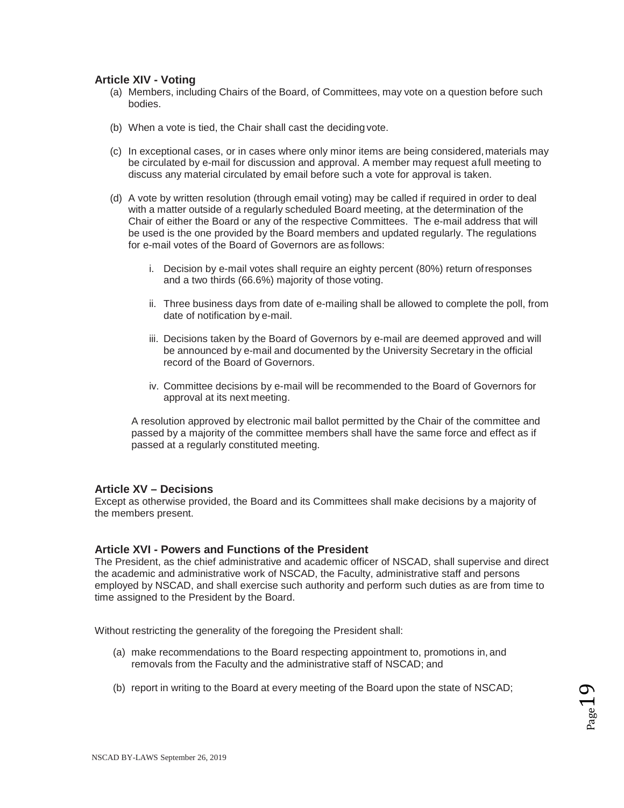### **Article XIV - Voting**

- (a) Members, including Chairs of the Board, of Committees, may vote on a question before such bodies.
- (b) When a vote is tied, the Chair shall cast the deciding vote.
- (c) In exceptional cases, or in cases where only minor items are being considered,materials may be circulated by e-mail for discussion and approval. A member may request afull meeting to discuss any material circulated by email before such a vote for approval is taken.
- (d) A vote by written resolution (through email voting) may be called if required in order to deal with a matter outside of a regularly scheduled Board meeting, at the determination of the Chair of either the Board or any of the respective Committees. The e-mail address that will be used is the one provided by the Board members and updated regularly. The regulations for e-mail votes of the Board of Governors are as follows:
	- i. Decision by e-mail votes shall require an eighty percent (80%) return ofresponses and a two thirds (66.6%) majority of those voting.
	- ii. Three business days from date of e-mailing shall be allowed to complete the poll, from date of notification by e-mail.
	- iii. Decisions taken by the Board of Governors by e-mail are deemed approved and will be announced by e-mail and documented by the University Secretary in the official record of the Board of Governors.
	- iv. Committee decisions by e-mail will be recommended to the Board of Governors for approval at its next meeting.

A resolution approved by electronic mail ballot permitted by the Chair of the committee and passed by a majority of the committee members shall have the same force and effect as if passed at a regularly constituted meeting.

#### **Article XV – Decisions**

Except as otherwise provided, the Board and its Committees shall make decisions by a majority of the members present.

#### **Article XVI - Powers and Functions of the President**

The President, as the chief administrative and academic officer of NSCAD, shall supervise and direct the academic and administrative work of NSCAD, the Faculty, administrative staff and persons employed by NSCAD, and shall exercise such authority and perform such duties as are from time to time assigned to the President by the Board.

Without restricting the generality of the foregoing the President shall:

- (a) make recommendations to the Board respecting appointment to, promotions in,and removals from the Faculty and the administrative staff of NSCAD; and
- (b) report in writing to the Board at every meeting of the Board upon the state of NSCAD;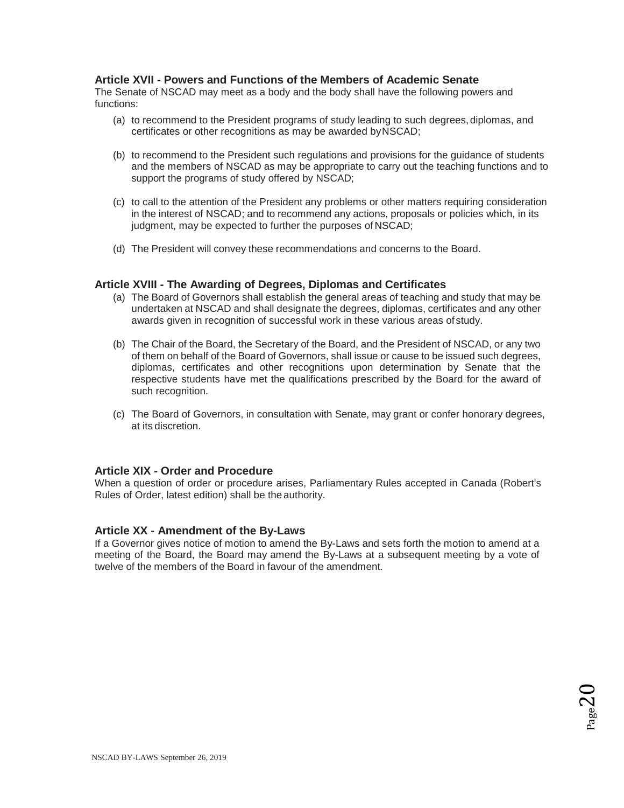### **Article XVII - Powers and Functions of the Members of Academic Senate**

The Senate of NSCAD may meet as a body and the body shall have the following powers and functions:

- (a) to recommend to the President programs of study leading to such degrees,diplomas, and certificates or other recognitions as may be awarded byNSCAD;
- (b) to recommend to the President such regulations and provisions for the guidance of students and the members of NSCAD as may be appropriate to carry out the teaching functions and to support the programs of study offered by NSCAD;
- (c) to call to the attention of the President any problems or other matters requiring consideration in the interest of NSCAD; and to recommend any actions, proposals or policies which, in its judgment, may be expected to further the purposes of NSCAD;
- (d) The President will convey these recommendations and concerns to the Board.

### **Article XVIII - The Awarding of Degrees, Diplomas and Certificates**

- (a) The Board of Governors shall establish the general areas of teaching and study that may be undertaken at NSCAD and shall designate the degrees, diplomas, certificates and any other awards given in recognition of successful work in these various areas ofstudy.
- (b) The Chair of the Board, the Secretary of the Board, and the President of NSCAD, or any two of them on behalf of the Board of Governors, shall issue or cause to be issued such degrees, diplomas, certificates and other recognitions upon determination by Senate that the respective students have met the qualifications prescribed by the Board for the award of such recognition.
- (c) The Board of Governors, in consultation with Senate, may grant or confer honorary degrees, at its discretion.

### **Article XIX - Order and Procedure**

When a question of order or procedure arises, Parliamentary Rules accepted in Canada (Robert's Rules of Order, latest edition) shall be the authority.

#### **Article XX - Amendment of the By-Laws**

If a Governor gives notice of motion to amend the By-Laws and sets forth the motion to amend at a meeting of the Board, the Board may amend the By-Laws at a subsequent meeting by a vote of twelve of the members of the Board in favour of the amendment.

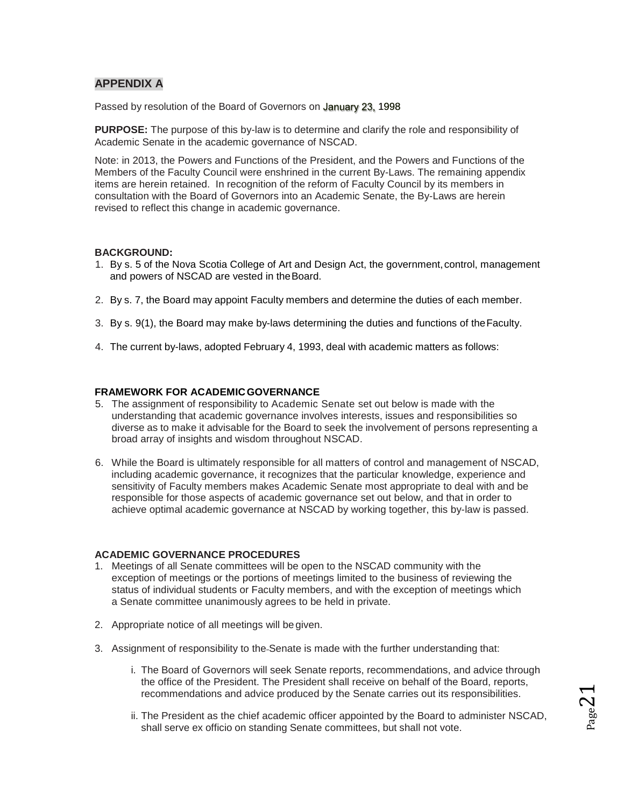# **APPENDIX A**

Passed by resolution of the Board of Governors on January 23, 1998

**PURPOSE:** The purpose of this by-law is to determine and clarify the role and responsibility of Academic Senate in the academic governance of NSCAD.

Note: in 2013, the Powers and Functions of the President, and the Powers and Functions of the Members of the Faculty Council were enshrined in the current By-Laws. The remaining appendix items are herein retained. In recognition of the reform of Faculty Council by its members in consultation with the Board of Governors into an Academic Senate, the By-Laws are herein revised to reflect this change in academic governance.

### **BACKGROUND:**

- 1. By s. 5 of the Nova Scotia College of Art and Design Act, the government,control, management and powers of NSCAD are vested in theBoard.
- 2. By s. 7, the Board may appoint Faculty members and determine the duties of each member.
- 3. By s. 9(1), the Board may make by-laws determining the duties and functions of theFaculty.
- 4. The current by-laws, adopted February 4, 1993, deal with academic matters as follows:

#### **FRAMEWORK FOR ACADEMICGOVERNANCE**

- 5. The assignment of responsibility to Academic Senate set out below is made with the understanding that academic governance involves interests, issues and responsibilities so diverse as to make it advisable for the Board to seek the involvement of persons representing a broad array of insights and wisdom throughout NSCAD.
- 6. While the Board is ultimately responsible for all matters of control and management of NSCAD, including academic governance, it recognizes that the particular knowledge, experience and sensitivity of Faculty members makes Academic Senate most appropriate to deal with and be responsible for those aspects of academic governance set out below, and that in order to achieve optimal academic governance at NSCAD by working together, this by-law is passed.

#### **ACADEMIC GOVERNANCE PROCEDURES**

- 1. Meetings of all Senate committees will be open to the NSCAD community with the exception of meetings or the portions of meetings limited to the business of reviewing the status of individual students or Faculty members, and with the exception of meetings which a Senate committee unanimously agrees to be held in private.
- 2. Appropriate notice of all meetings will be given.
- 3. Assignment of responsibility to the Senate is made with the further understanding that:
	- i. The Board of Governors will seek Senate reports, recommendations, and advice through the office of the President. The President shall receive on behalf of the Board, reports, recommendations and advice produced by the Senate carries out its responsibilities.
	- ii. The President as the chief academic officer appointed by the Board to administer NSCAD, shall serve ex officio on standing Senate committees, but shall not vote.

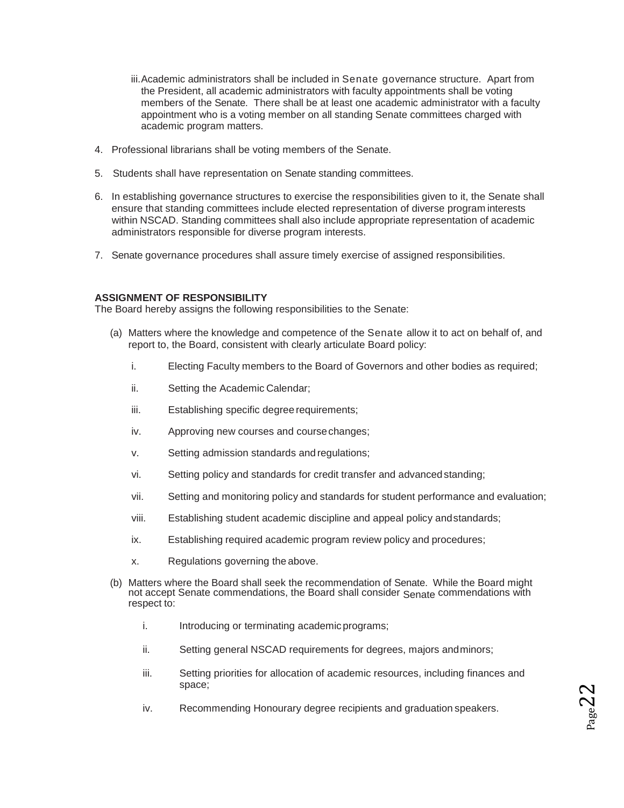- iii.Academic administrators shall be included in Senate governance structure. Apart from the President, all academic administrators with faculty appointments shall be voting members of the Senate. There shall be at least one academic administrator with a faculty appointment who is a voting member on all standing Senate committees charged with academic program matters.
- 4. Professional librarians shall be voting members of the Senate.
- 5. Students shall have representation on Senate standing committees.
- 6. In establishing governance structures to exercise the responsibilities given to it, the Senate shall ensure that standing committees include elected representation of diverse program interests within NSCAD. Standing committees shall also include appropriate representation of academic administrators responsible for diverse program interests.
- 7. Senate governance procedures shall assure timely exercise of assigned responsibilities.

### **ASSIGNMENT OF RESPONSIBILITY**

The Board hereby assigns the following responsibilities to the Senate:

- (a) Matters where the knowledge and competence of the Senate allow it to act on behalf of, and report to, the Board, consistent with clearly articulate Board policy:
	- i. Electing Faculty members to the Board of Governors and other bodies as required;
	- ii. Setting the Academic Calendar;
	- iii. Establishing specific degree requirements;
	- iv. Approving new courses and coursechanges;
	- v. Setting admission standards and regulations;
	- vi. Setting policy and standards for credit transfer and advancedstanding;
	- vii. Setting and monitoring policy and standards for student performance and evaluation;
	- viii. Establishing student academic discipline and appeal policy andstandards;
	- ix. Establishing required academic program review policy and procedures;
	- x. Regulations governing the above.
- (b) Matters where the Board shall seek the recommendation of Senate. While the Board might not accept Senate commendations, the Board shall consider <sub>Senate</sub> commendations with respect to:
	- i. Introducing or terminating academic programs;
	- ii. Setting general NSCAD requirements for degrees, majors andminors;
	- iii. Setting priorities for allocation of academic resources, including finances and space;
	- iv. Recommending Honourary degree recipients and graduation speakers.